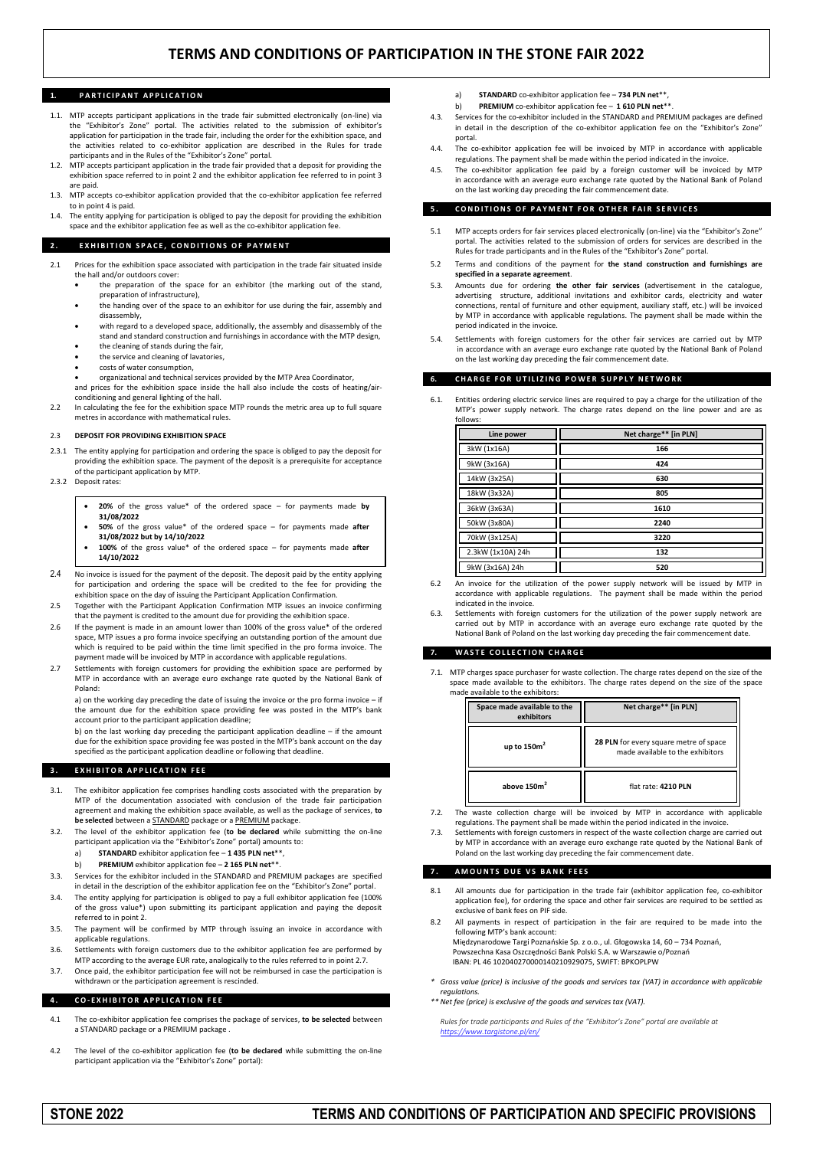# **TERMS AND CONDITIONS OF PARTICIPATION IN THE STONE FAIR 2022**

### **PARTICIPANT APPLICATION**

- 1.1. MTP accepts participant applications in the trade fair submitted electronically (on-line) via the "Exhibitor's Zone" portal. The activities related to the submission of exhibitor's application for participation in the trade fair, including the order for the exhibition space, and the activities related to co-exhibitor application are described in the Rules for trade participants and in the Rules of the "Exhibitor's Zone" portal.
- 1.2. MTP accepts participant application in the trade fair provided that a deposit for providing the exhibition space referred to in point 2 and the exhibitor application fee referred to in point 3 are paid.
- 1.3. MTP accepts co-exhibitor application provided that the co-exhibitor application fee referred to in point 4 is paid.
- 1.4. The entity applying for participation is obliged to pay the deposit for providing the exhibition space and the exhibitor application fee as well as the co-exhibitor application fee.

### **2. EXHIBITION SPACE, CONDITIONS OF PAYMENT**

- 2.1 Prices for the exhibition space associated with participation in the trade fair situated inside the hall and/or outdoors cover:
	- the preparation of the space for an exhibitor (the marking out of the stand, preparation of infrastructure),
	- the handing over of the space to an exhibitor for use during the fair, assembly and disassembly,
	- with regard to a developed space, additionally, the assembly and disassembly of the stand and standard construction and furnishings in accordance with the MTP design,
	- the cleaning of stands during the fair,
	- the service and cleaning of lavatories, costs of water consumption,
	-
	- organizational and technical services provided by the MTP Area Coordinator, and prices for the exhibition space inside the hall also include the costs of heating/airconditioning and general lighting of the hall.
- 2.2 In calculating the fee for the exhibition space MTP rounds the metric area up to full square metres in accordance with mathematical rules.

#### 2.3 **DEPOSIT FOR PROVIDING EXHIBITION SPACE**

- The entity applying for participation and ordering the space is obliged to pay the deposit for providing the exhibition space. The payment of the deposit is a prerequisite for acceptance of the participant application by MTP.
- 2.3.2 Deposit rates:
	- **20%** of the gross value\* of the ordered space for payments made **by 31/08/2022**
	- **50%** of the gross value\* of the ordered space for payments made **after 31/08/2022 but by 14/10/2022**
	- **100%** of the gross value\* of the ordered space for payments made **after 14/10/2022**
- 2.4 No invoice is issued for the payment of the deposit. The deposit paid by the entity applying for participation and ordering the space will be credited to the fee for providing the exhibition space on the day of issuing the Participant Application Confirmation.
- 2.5 Together with the Participant Application Confirmation MTP issues an invoice confirming that the payment is credited to the amount due for providing the exhibition space.
- 2.6 If the payment is made in an amount lower than 100% of the gross value\* of the ordered space, MTP issues a pro forma invoice specifying an outstanding portion of the amount due which is required to be paid within the time limit specified in the pro forma invoice. The payment made will be invoiced by MTP in accordance with applicable regulations.
- 2.7 Settlements with foreign customers for providing the exhibition space are performed by MTP in accordance with an average euro exchange rate quoted by the National Bank of Poland:

a) on the working day preceding the date of issuing the invoice or the pro forma invoice – if the amount due for the exhibition space providing fee was posted in the MTP's bank account prior to the participant application deadline;

b) on the last working day preceding the participant application deadline – if the amount due for the exhibition space providing fee was posted in the MTP's bank account on the day specified as the participant application deadline or following that deadline.

### **3. EXHIBITOR APPLICATION FEE**

- 3.1. The exhibitor application fee comprises handling costs associated with the preparation by MTP of the documentation associated with conclusion of the trade fair participation agreement and making the exhibition space available, as well as the package of services, **to be selected** between a STANDARD package or a PREMIUM package.
- 3.2. The level of the exhibitor application fee (**to be declared** while submitting the on-line participant application via the "Exhibitor's Zone" portal) amounts to:
	- a) **STANDARD** exhibitor application fee **1 435 PLN net**\*\*,
	- b) **PREMIUM** exhibitor application fee **2 165 PLN net**\*\*.
- 3.3. Services for the exhibitor included in the STANDARD and PREMIUM packages are specified in detail in the description of the exhibitor application fee on the "Exhibitor's Zone" portal.
- 3.4. The entity applying for participation is obliged to pay a full exhibitor application fee (100% of the gross value\*) upon submitting its participant application and paying the deposit referred to in point 2.
- 3.5. The payment will be confirmed by MTP through issuing an invoice in accordance with applicable regulations.
- 3.6. Settlements with foreign customers due to the exhibitor application fee are performed by MTP according to the average EUR rate, analogically to the rules referred to in point 2.7.
- 3.7. Once paid, the exhibitor participation fee will not be reimbursed in case the participation is withdrawn or the participation agreement is rescinded.

### **4 . C O - E X H I B I T O R A P P L I C A T I O N F E E**

- 4.1 The co-exhibitor application fee comprises the package of services, **to be selected** between a STANDARD package or a PREMIUM package
- 4.2 The level of the co-exhibitor application fee (**to be declared** while submitting the on-line participant application via the "Exhibitor's Zone" portal):
- a) **STANDARD** co-exhibitor application fee **734 PLN net**\*\*,
- b) **PREMIUM** co-exhibitor application fee **1 610 PLN net**\*\*.
- 4.3. Services for the co-exhibitor included in the STANDARD and PREMIUM packages are defined in detail in the description of the co-exhibitor application fee on the "Exhibitor's Zone portal.
- 4.4. The co-exhibitor application fee will be invoiced by MTP in accordance with applicable regulations. The payment shall be made within the period indicated in the invoice.
- 4.5. The co-exhibitor application fee paid by a foreign customer will be invoiced by MTP in accordance with an average euro exchange rate quoted by the National Bank of Poland on the last working day preceding the fair commencement date.

### **5. CONDITIONS OF PAYMENT FOR OTHER FAIR SERVICES**

- 5.1 MTP accepts orders for fair services placed electronically (on-line) via the "Exhibitor's Zone" portal. The activities related to the submission of orders for services are described in the Rules for trade participants and in the Rules of the "Exhibitor's Zone" portal.
- 5.2 Terms and conditions of the payment for **the stand construction and furnishings are specified in a separate agreement**.
- 5.3. Amounts due for ordering **the other fair services** (advertisement in the catalogue, advertising structure, additional invitations and exhibitor cards, electricity and water connections, rental of furniture and other equipment, auxiliary staff, etc.) will be invoiced by MTP in accordance with applicable regulations. The payment shall be made within the period indicated in the invoice.
- 5.4. Settlements with foreign customers for the other fair services are carried out by MTP in accordance with an average euro exchange rate quoted by the National Bank of Poland on the last working day preceding the fair commencement date

# **CHARGE FOR UTILIZING POWER SUPPLY NETWORK**

6.1. Entities ordering electric service lines are required to pay a charge for the utilization of the MTP's power supply network. The charge rates depend on the line power and are as follows:

| Line power        | Net charge** [in PLN] |
|-------------------|-----------------------|
| 3kW (1x16A)       | 166                   |
| 9kW (3x16A)       | 424                   |
| 14kW (3x25A)      | 630                   |
| 18kW (3x32A)      | 805                   |
| 36kW (3x63A)      | 1610                  |
| 50kW (3x80A)      | 2240                  |
| 70kW (3x125A)     | 3220                  |
| 2.3kW (1x10A) 24h | 132                   |
| 9kW (3x16A) 24h   | 520                   |

- 6.2 An invoice for the utilization of the power supply network will be issued by MTP in accordance with applicable regulations. The payment shall be made within the period indicated in the invoice.
- Settlements with foreign customers for the utilization of the power supply network are carried out by MTP in accordance with an average euro exchange rate quoted by the National Bank of Poland on the last working day preceding the fair commencement date.

# **7. W A S T E C O L L E C T I O N C H A R G E**

7.1. MTP charges space purchaser for waste collection. The charge rates depend on the size of the space made available to the exhibitors. The charge rates depend on the size of the space made available to the exhibitors:

| Space made available to the<br>exhibitors | Net charge** [in PLN]                                                      |
|-------------------------------------------|----------------------------------------------------------------------------|
| up to $150m2$                             | 28 PLN for every square metre of space<br>made available to the exhibitors |
| above 150m <sup>2</sup>                   | flat rate: 4210 PLN                                                        |

- 7.2. The waste collection charge will be invoiced by MTP in accordance with applicable regulations. The payment shall be made within the period indicated in the invoice.
- 7.3. Settlements with foreign customers in respect of the waste collection charge are carried out by MTP in accordance with an average euro exchange rate quoted by the National Bank of Poland on the last working day preceding the fair commencement date.

# **7 . A M O U N T S D U E V S B A N K F E E S**

- 8.1 All amounts due for participation in the trade fair (exhibitor application fee, co-exhibitor application fee), for ordering the space and other fair services are required to be settled as exclusive of bank fees on PIF side.
- All payments in respect of participation in the fair are required to be made into the following MTP's bank account: Międzynarodowe Targi Poznańskie Sp. z o.o., ul. Głogowska 14, 60 – 734 Poznań, Powszechna Kasa Oszczędności Bank Polski S.A. w Warszawie o/Poznań IBAN: PL 46 102040270000140210929075, SWIFT: BPKOPLPW
- *\* Gross value (price) is inclusive of the goods and services tax (VAT) in accordance with applicable regulations.*
- *\*\* Net fee (price) is exclusive of the goods and services tax (VAT).*

*Rules for trade participants and Rules of the "Exhibitor's Zone" portal are available at <https://www.targistone.pl/en/>*